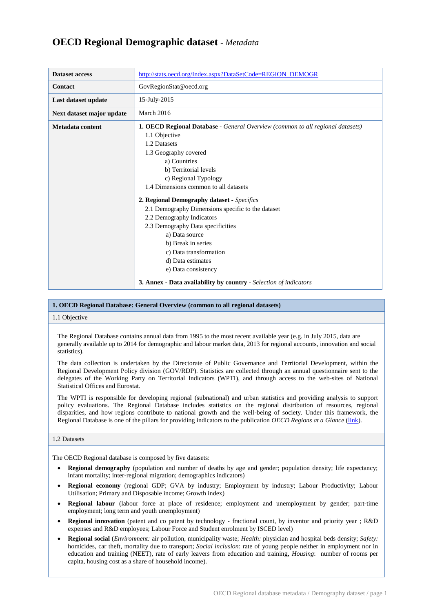# **OECD Regional Demographic dataset** *- Metadata*

| <b>Dataset access</b>     | http://stats.oecd.org/Index.aspx?DataSetCode=REGION_DEMOGR                                                                                                                                                                                                                                                                                                                                                                                                                                                                                                                                                 |
|---------------------------|------------------------------------------------------------------------------------------------------------------------------------------------------------------------------------------------------------------------------------------------------------------------------------------------------------------------------------------------------------------------------------------------------------------------------------------------------------------------------------------------------------------------------------------------------------------------------------------------------------|
| <b>Contact</b>            | GovRegionStat@oecd.org                                                                                                                                                                                                                                                                                                                                                                                                                                                                                                                                                                                     |
| Last dataset update       | 15-July-2015                                                                                                                                                                                                                                                                                                                                                                                                                                                                                                                                                                                               |
| Next dataset major update | March 2016                                                                                                                                                                                                                                                                                                                                                                                                                                                                                                                                                                                                 |
| Metadata content          | 1. OECD Regional Database - General Overview (common to all regional datasets)<br>1.1 Objective<br>1.2 Datasets<br>1.3 Geography covered<br>a) Countries<br>b) Territorial levels<br>c) Regional Typology<br>1.4 Dimensions common to all datasets<br>2. Regional Demography dataset - Specifics<br>2.1 Demography Dimensions specific to the dataset<br>2.2 Demography Indicators<br>2.3 Demography Data specificities<br>a) Data source<br>b) Break in series<br>c) Data transformation<br>d) Data estimates<br>e) Data consistency<br>3. Annex - Data availability by country - Selection of indicators |

# **1. OECD Regional Database: General Overview (common to all regional datasets)**

# 1.1 Objective

The Regional Database contains annual data from 1995 to the most recent available year (e.g. in July 2015, data are generally available up to 2014 for demographic and labour market data, 2013 for regional accounts, innovation and social statistics).

The data collection is undertaken by the Directorate of Public Governance and Territorial Development, within the Regional Development Policy division (GOV/RDP). Statistics are collected through an annual questionnaire sent to the delegates of the Working Party on Territorial Indicators (WPTI), and through access to the web-sites of National Statistical Offices and Eurostat.

The WPTI is responsible for developing regional (subnational) and urban statistics and providing analysis to support policy evaluations. The Regional Database includes statistics on the regional distribution of resources, regional disparities, and how regions contribute to national growth and the well-being of society. Under this framework, the Regional Database is one of the pillars for providing indicators to the publication *OECD Regions at a Glance* [\(link\)](http://www.oecd.org/gov/regions-at-a-glance.htm).

# 1.2 Datasets

The OECD Regional database is composed by five datasets:

- **Regional demography** (population and number of deaths by age and gender; population density; life expectancy; infant mortality; inter-regional migration; demographics indicators)
- **Regional economy** (regional GDP; GVA by industry; Employment by industry; Labour Productivity; Labour Utilisation; Primary and Disposable income; Growth index)
- **Regional labour** (labour force at place of residence; employment and unemployment by gender; part-time employment; long term and youth unemployment)
- **Regional innovation** (patent and co patent by technology fractional count, by inventor and priority year ; R&D expenses and R&D employees; Labour Force and Student enrolment by ISCED level)
- **Regional social** (*Environment:* air pollution, municipality waste; *Health:* physician and hospital beds density; *Safety:* homicides, car theft, mortality due to transport; *Social inclusion*: rate of young people neither in employment nor in education and training (NEET), rate of early leavers from education and training, *Housing*: number of rooms per capita, housing cost as a share of household income).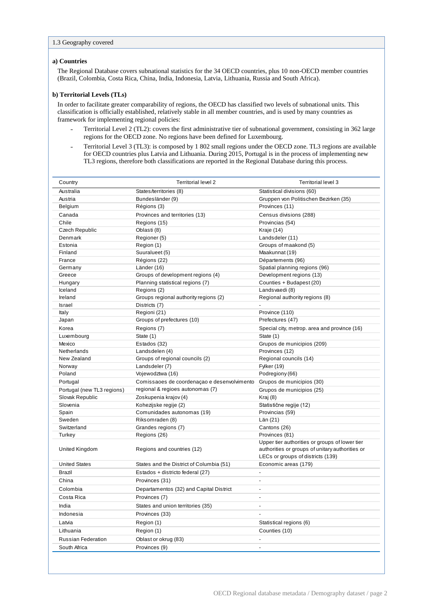# **a) Countries**

The Regional Database covers subnational statistics for the 34 OECD countries, plus 10 non-OECD member countries (Brazil, Colombia, Costa Rica, China, India, Indonesia, Latvia, Lithuania, Russia and South Africa).

## **b) Territorial Levels (TLs)**

In order to facilitate greater comparability of regions, the OECD has classified two levels of subnational units. This classification is officially established, relatively stable in all member countries, and is used by many countries as framework for implementing regional policies:

- ˗ Territorial Level 2 (TL2): covers the first administrative tier of subnational government, consisting in 362 large regions for the OECD zone. No regions have been defined for Luxembourg.
- ˗ Territorial Level 3 (TL3): is composed by 1 802 small regions under the OECD zone. TL3 regions are available for OECD countries plus Latvia and Lithuania. During 2015, Portugal is in the process of implementing new TL3 regions, therefore both classifications are reported in the Regional Database during this process.

| Country                    | <b>Territorial level 2</b>                  | Territorial level 3                                                                                                                    |  |  |
|----------------------------|---------------------------------------------|----------------------------------------------------------------------------------------------------------------------------------------|--|--|
| Australia                  | States/territories (8)                      | Statistical divisions (60)                                                                                                             |  |  |
| Austria                    | Bundesländer (9)                            | Gruppen von Politischen Bezirken (35)                                                                                                  |  |  |
| Belgium                    | Régions (3)                                 | Provinces (11)                                                                                                                         |  |  |
| Canada                     | Provinces and territories (13)              | Census divisions (288)                                                                                                                 |  |  |
| Chile                      | Regions (15)                                | Provincias (54)                                                                                                                        |  |  |
| Czech Republic             | Oblasti (8)                                 | Kraje (14)                                                                                                                             |  |  |
| Denmark                    | Regioner (5)                                | Landsdeler (11)                                                                                                                        |  |  |
| Estonia                    | Region (1)                                  | Groups of maakond (5)                                                                                                                  |  |  |
| Finland                    | Suuralueet (5)                              | Maakunnat (19)                                                                                                                         |  |  |
| France                     | Régions (22)                                | Départements (96)                                                                                                                      |  |  |
| Germany                    | Länder (16)                                 | Spatial planning regions (96)                                                                                                          |  |  |
| Greece                     | Groups of development regions (4)           | Development regions (13)                                                                                                               |  |  |
| Hungary                    | Planning statistical regions (7)            | Counties + Budapest (20)                                                                                                               |  |  |
| Iceland                    | Regions (2)                                 | Landsvaedi (8)                                                                                                                         |  |  |
| Ireland                    | Groups regional authority regions (2)       | Regional authority regions (8)                                                                                                         |  |  |
| <b>Israel</b>              | Districts (7)                               |                                                                                                                                        |  |  |
| Italy                      | Regioni (21)                                | Province (110)                                                                                                                         |  |  |
| Japan                      | Groups of prefectures (10)                  | Prefectures (47)                                                                                                                       |  |  |
| Korea                      | Regions (7)                                 | Special city, metrop. area and province (16)                                                                                           |  |  |
| Luxembourg                 | State (1)                                   | State (1)                                                                                                                              |  |  |
| Mexico                     | Estados (32)                                | Grupos de municipios (209)                                                                                                             |  |  |
| Netherlands                | Landsdelen (4)                              | Provinces (12)                                                                                                                         |  |  |
| New Zealand                | Groups of regional councils (2)             | Regional councils (14)                                                                                                                 |  |  |
| Norway                     | Landsdeler (7)                              | Fylker (19)                                                                                                                            |  |  |
| Poland                     | Vojewodztwa (16)                            | Podregiony (66)                                                                                                                        |  |  |
| Portugal                   | Comissaoes de coordenaçao e desenvolvimento | Grupos de municipios (30)                                                                                                              |  |  |
| Portugal (new TL3 regions) | regional & regioes autonomas (7)            | Grupos de municipios (25)                                                                                                              |  |  |
| Slovak Republic            | Zoskupenia krajov (4)                       | Kraj (8)                                                                                                                               |  |  |
| Slovenia                   | Kohezijske regije (2)                       | Statistične regije (12)                                                                                                                |  |  |
| Spain                      | Comunidades autonomas (19)                  | Provincias (59)                                                                                                                        |  |  |
| Sweden                     | Riksomraden (8)                             | Län (21)                                                                                                                               |  |  |
| Switzerland                | Grandes regions (7)                         | Cantons (26)                                                                                                                           |  |  |
| Turkey                     | Regions (26)                                | Provinces (81)                                                                                                                         |  |  |
| United Kingdom             | Regions and countries (12)                  | Upper tier authorities or groups of lower tier<br>authorities or groups of unitary authorities or<br>LECs or groups of districts (139) |  |  |
| <b>United States</b>       | States and the District of Columbia (51)    | Economic areas (179)                                                                                                                   |  |  |
| Brazil                     | Estados + districto federal (27)            | $\overline{a}$                                                                                                                         |  |  |
| China                      | Provinces (31)                              | $\overline{a}$                                                                                                                         |  |  |
| Colombia                   | Departamentos (32) and Capital District     | $\overline{\phantom{0}}$                                                                                                               |  |  |
| Costa Rica                 | Provinces (7)                               |                                                                                                                                        |  |  |
| India                      | States and union territories (35)           | $\overline{\phantom{a}}$                                                                                                               |  |  |
| Indonesia                  | Provinces (33)                              |                                                                                                                                        |  |  |
|                            |                                             |                                                                                                                                        |  |  |
| Latvia                     | Region (1)                                  | Statistical regions (6)                                                                                                                |  |  |
| Lithuania                  | Region (1)                                  | Counties (10)                                                                                                                          |  |  |
| Russian Federation         | Oblast or okrug (83)                        | -                                                                                                                                      |  |  |
| South Africa               | Provinces (9)                               | -                                                                                                                                      |  |  |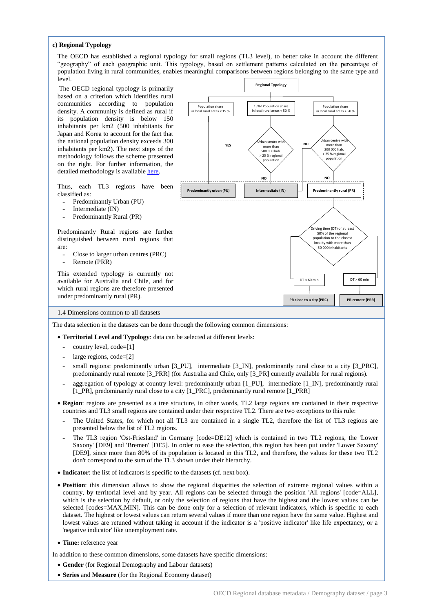### **c) Regional Typology**

The OECD has established a regional typology for small regions (TL3 level), to better take in account the different "geography" of each geographic unit. This typology, based on settlement patterns calculated on the percentage of population living in rural communities, enables meaningful comparisons between regions belonging to the same type and level.

The OECD regional typology is primarily based on a criterion which identifies rural communities according to population density. A community is defined as rural if its population density is below 150 inhabitants per km2 (500 inhabitants for Japan and Korea to account for the fact that the national population density exceeds 300 inhabitants per km2). The next steps of the methodology follows the scheme presented on the right. For further information, the detailed methodology is availabl[e here.](http://www.oecd.org/gov/regional-policy/48670214.pdf)

Thus, each TL3 regions have been classified as:

- ˗ Predominantly Urban (PU)
- ˗ Intermediate (IN)
- Predominantly Rural (PR)

Predominantly Rural regions are further distinguished between rural regions that are:

- Close to larger urban centres (PRC)
- ˗ Remote (PRR)

This extended typology is currently not available for Australia and Chile, and for which rural regions are therefore presented under predominantly rural (PR).



1.4 Dimensions common to all datasets

The data selection in the datasets can be done through the following common dimensions:

- **Territorial Level and Typology**: data can be selected at different levels:
	- ˗ country level, code=[1]
	- large regions, code=[2]
	- small regions: predominantly urban [3\_PU], intermediate [3\_IN], predominantly rural close to a city [3\_PRC], predominantly rural remote [3\_PRR] (for Australia and Chile, only [3\_PR] currently available for rural regions).
	- aggregation of typology at country level: predominantly urban [1\_PU], intermediate [1\_IN], predominantly rural [1\_PR], predominantly rural close to a city [1\_PRC], predominantly rural remote [1\_PRR]
- **Region**: regions are presented as a tree structure, in other words, TL2 large regions are contained in their respective countries and TL3 small regions are contained under their respective TL2. There are two exceptions to this rule:
	- The United States, for which not all TL3 are contained in a single TL2, therefore the list of TL3 regions are presented below the list of TL2 regions.
- ˗ The TL3 region 'Ost-Friesland' in Germany [code=DE12] which is contained in two TL2 regions, the 'Lower Saxony' [DE9] and 'Bremen' [DE5]. In order to ease the selection, this region has been put under 'Lower Saxony' [DE9], since more than 80% of its population is located in this TL2, and therefore, the values for these two TL2 don't correspond to the sum of the TL3 shown under their hierarchy.
- **Indicator**: the list of indicators is specific to the datasets (cf. next box).
- **Position**: this dimension allows to show the regional disparities the selection of extreme regional values within a country, by territorial level and by year. All regions can be selected through the position 'All regions' [code=ALL], which is the selection by default, or only the selection of regions that have the highest and the lowest values can be selected [codes=MAX,MIN]. This can be done only for a selection of relevant indicators, which is specific to each dataset. The highest or lowest values can return several values if more than one region have the same value. Highest and lowest values are retuned without taking in account if the indicator is a 'positive indicator' like life expectancy, or a 'negative indicator' like unemployment rate.
- **Time:** reference year

In addition to these common dimensions, some datasets have specific dimensions:

- **Gender** (for Regional Demography and Labour datasets)
- **Series** and **Measure** (for the Regional Economy dataset)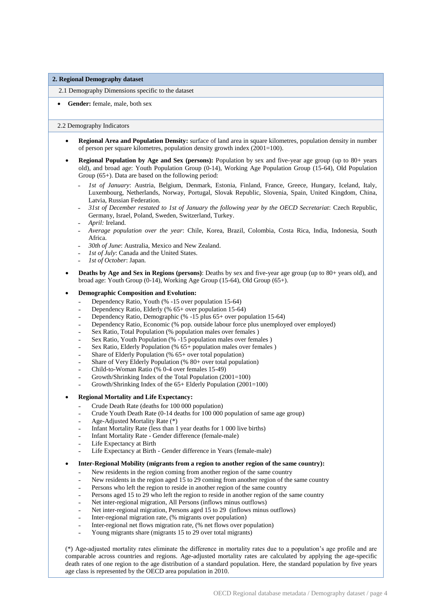#### **2. Regional Demography dataset**

2.1 Demography Dimensions specific to the dataset

#### **Gender:** female, male, both sex

#### 2.2 Demography Indicators

- **Regional Area and Population Density:** surface of land area in square kilometres, population density in number of person per square kilometres, population density growth index  $(2001=100)$ .
- **Regional Population by Age and Sex (persons):** Population by sex and five-year age group (up to 80+ years old), and broad age: Youth Population Group (0-14), Working Age Population Group (15-64), Old Population Group (65+). Data are based on the following period:
	- ˗ *1st of January*: Austria, Belgium, Denmark, Estonia, Finland, France, Greece, Hungary, Iceland, Italy, Luxembourg, Netherlands, Norway, Portugal, Slovak Republic, Slovenia, Spain, United Kingdom, China, Latvia, Russian Federation.
	- ˗ *31st of December restated to 1st of January the following year by the OECD Secretariat*: Czech Republic, Germany, Israel, Poland, Sweden, Switzerland, Turkey.
	- April: Ireland.
	- ˗ *Average population over the year*: Chile, Korea, Brazil, Colombia, Costa Rica, India, Indonesia, South Africa.
	- ˗ *30th of June*: Australia, Mexico and New Zealand.
	- *Ist of July*: Canada and the United States.
	- ˗ *1st of October*: Japan.
- **Deaths by Age and Sex in Regions (persons)**: Deaths by sex and five-year age group (up to 80+ years old), and broad age: Youth Group (0-14), Working Age Group (15-64), Old Group (65+).

### **Demographic Composition and Evolution:**

- Dependency Ratio, Youth (% -15 over population 15-64)
- ˗ Dependency Ratio, Elderly (% 65+ over population 15-64)
- ˗ Dependency Ratio, Demographic (% -15 plus 65+ over population 15-64)
- Dependency Ratio, Economic (% pop. outside labour force plus unemployed over employed)
- Sex Ratio, Total Population (% population males over females)
- Sex Ratio, Youth Population (% -15 population males over females )
- Sex Ratio, Elderly Population (%  $65+$  population males over females)
- ˗ Share of Elderly Population (% 65+ over total population)
- Share of Very Elderly Population (% 80+ over total population)
- ˗ Child-to-Woman Ratio (% 0-4 over females 15-49)
- ˗ Growth/Shrinking Index of the Total Population (2001=100)
- ˗ Growth/Shrinking Index of the 65+ Elderly Population (2001=100)

# **Regional Mortality and Life Expectancy:**

- ˗ Crude Death Rate (deaths for 100 000 population)
- ˗ Crude Youth Death Rate (0-14 deaths for 100 000 population of same age group)
- ˗ Age-Adjusted Mortality Rate (\*)
- ˗ Infant Mortality Rate (less than 1 year deaths for 1 000 live births)
- ˗ Infant Mortality Rate Gender difference (female-male)
- ˗ Life Expectancy at Birth
- ˗ Life Expectancy at Birth Gender difference in Years (female-male)
- **Inter-Regional Mobility (migrants from a region to another region of the same country):**
	- ˗ New residents in the region coming from another region of the same country
		- New residents in the region aged 15 to 29 coming from another region of the same country
	- Persons who left the region to reside in another region of the same country
	- Persons aged 15 to 29 who left the region to reside in another region of the same country
	- ˗ Net inter-regional migration, All Persons (inflows minus outflows)
	- ˗ Net inter-regional migration, Persons aged 15 to 29 (inflows minus outflows)
	- ˗ Inter-regional migration rate, (% migrants over population)
	- ˗ Inter-regional net flows migration rate, (% net flows over population)
	- Young migrants share (migrants 15 to 29 over total migrants)

(\*) Age-adjusted mortality rates eliminate the difference in mortality rates due to a population's age profile and are comparable across countries and regions. Age-adjusted mortality rates are calculated by applying the age-specific death rates of one region to the age distribution of a standard population. Here, the standard population by five years age class is represented by the OECD area population in 2010.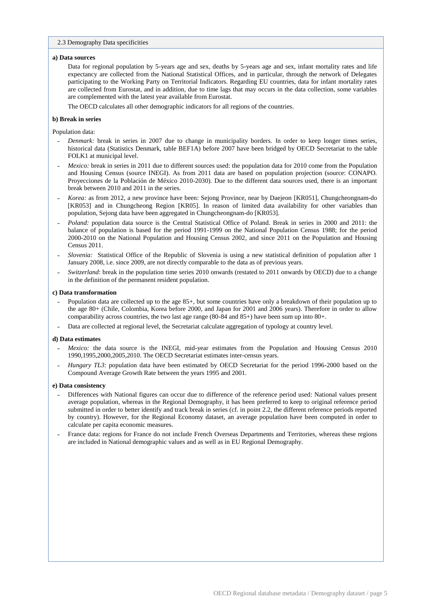### 2.3 Demography Data specificities

#### **a) Data sources**

Data for regional population by 5-years age and sex, deaths by 5-years age and sex, infant mortality rates and life expectancy are collected from the National Statistical Offices, and in particular, through the network of Delegates participating to the Working Party on Territorial Indicators. Regarding EU countries, data for infant mortality rates are collected from Eurostat, and in addition, due to time lags that may occurs in the data collection, some variables are complemented with the latest year available from Eurostat.

The OECD calculates all other demographic indicators for all regions of the countries.

## **b) Break in series**

Population data:

- ˗ *Denmark:* break in series in 2007 due to change in municipality borders. In order to keep longer times series, historical data (Statistics Denmark, table BEF1A) before 2007 have been bridged by OECD Secretariat to the table FOLK1 at municipal level.
- *Mexico:* break in series in 2011 due to different sources used: the population data for 2010 come from the Population and Housing Census (source INEGI). As from 2011 data are based on population projection (source: CONAPO. Proyecciones de la Población de México 2010-2030). Due to the different data sources used, there is an important break between 2010 and 2011 in the series.
- ˗ *Korea:* as from 2012, a new province have been: Sejong Province, near by Daejeon [KR051], Chungcheongnam-do [KR053] and in Chungcheong Region [KR05]. In reason of limited data availability for other variables than population, Sejong data have been aggregated in Chungcheongnam-do [KR053].
- ˗ *Poland:* population data source is the Central Statistical Office of Poland. Break in series in 2000 and 2011: the balance of population is based for the period 1991-1999 on the National Population Census 1988; for the period 2000-2010 on the National Population and Housing Census 2002, and since 2011 on the Population and Housing Census 2011.
- ˗ *Slovenia:* Statistical Office of the Republic of Slovenia is using a new statistical definition of population after 1 January 2008, i.e. since 2009, are not directly comparable to the data as of previous years.
- ˗ *Switzerland*: break in the population time series 2010 onwards (restated to 2011 onwards by OECD) due to a change in the definition of the permanent resident population.

#### **c) Data transformation**

- Population data are collected up to the age 85+, but some countries have only a breakdown of their population up to the age 80+ (Chile, Colombia, Korea before 2000, and Japan for 2001 and 2006 years). Therefore in order to allow comparability across countries, the two last age range (80-84 and 85+) have been sum up into 80+.
- ˗ Data are collected at regional level, the Secretariat calculate aggregation of typology at country level.

#### **d) Data estimates**

- Mexico: the data source is the INEGI, mid-year estimates from the Population and Housing Census 2010 1990,1995,2000,2005,2010. The OECD Secretariat estimates inter-census years.
- Hungary TL3: population data have been estimated by OECD Secretariat for the period 1996-2000 based on the Compound Average Growth Rate between the years 1995 and 2001.

## **e) Data consistency**

- ˗ Differences with National figures can occur due to difference of the reference period used: National values present average population, whereas in the Regional Demography, it has been preferred to keep to original reference period submitted in order to better identify and track break in series (cf. in point 2.2, the different reference periods reported by country). However, for the Regional Economy dataset, an average population have been computed in order to calculate per capita economic measures.
- ˗ France data: regions for France do not include French Overseas Departments and Territories, whereas these regions are included in National demographic values and as well as in EU Regional Demography.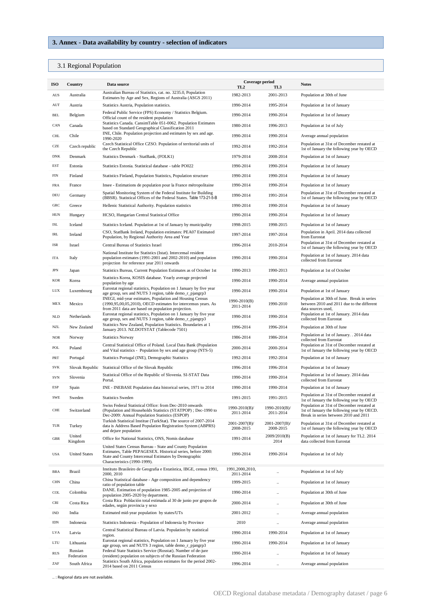# **3. Annex** *-* **Data availability by country - selection of indicators**

# 3.1 Regional Population

| ISO                              | Country               | Data source                                                                                                                                                                                                       | Coverage period<br>TL <sub>2</sub> | TL3                        | <b>Notes</b>                                                                                                                      |
|----------------------------------|-----------------------|-------------------------------------------------------------------------------------------------------------------------------------------------------------------------------------------------------------------|------------------------------------|----------------------------|-----------------------------------------------------------------------------------------------------------------------------------|
| $\mathbf{A}\mathbf{U}\mathbf{S}$ | Australia             | Australian Bureau of Statistics, cat. no. 3235.0, Population<br>Estimates by Age and Sex, Regions of Australia (ASGS 2011)                                                                                        | 1982-2013                          | 2001-2013                  | Population at 30th of June                                                                                                        |
| $\mathop{\rm AUT}$               | Austria               | Statistics Austria, Population statistics.                                                                                                                                                                        | 1990-2014                          | 1995-2014                  | Population at 1st of January                                                                                                      |
| BEL                              | Belgium               | Federal Public Service (FPS) Economy / Statistics Belgium.<br>Official count of the resident population                                                                                                           | 1990-2014                          | 1990-2014                  | Population at 1st of January                                                                                                      |
| CAN                              | Canada                | Statistics Canada. CansimTable 051-0062. Population Estimates<br>based on Standard Geographical Classification 2011                                                                                               | 1980-2014                          | 1996-2013                  | Population at 1st of July                                                                                                         |
| CHL                              | Chile                 | INE, Chile. Population projection and estimates by sex and age.<br>1990-2020                                                                                                                                      | 1990-2014                          | 1990-2014                  | Average annual population                                                                                                         |
| CZE                              | Czech republic        | Czech Statistical Office CZSO. Population of territorial units of<br>the Czech Republic                                                                                                                           | 1992-2014                          | 1992-2014                  | Population at 31st of December restated at<br>1st of January the following year by OECD                                           |
| <b>DNK</b>                       | Denmark               | Statistics Denmark - StatBank, (FOLK1)                                                                                                                                                                            | 1979-2014                          | 2008-2014                  | Population at 1st of January                                                                                                      |
| EST                              | Estonia               | Statistics Estonia. Statistical database - table PO022                                                                                                                                                            | 1990-2014                          | 1990-2014                  | Population at 1st of January                                                                                                      |
| FIN                              | Finland               | Statistics Finland, Population Statistics, Population structure                                                                                                                                                   | 1990-2014                          | 1990-2014                  | Population at 1st of January                                                                                                      |
| FRA                              | France                | Insee - Estimations de population pour la France métropolitaine                                                                                                                                                   | 1990-2014                          | 1990-2014                  | Population at 1st of January                                                                                                      |
| DEU                              | Germany               | Spatial Monitoring System of the Federal Institute for Building<br>(BBSR). Statistical Offices of the Federal States. Table 173-21-5-B                                                                            | 1990-2014                          | 1991-2014                  | Population at 31st of December restated at<br>1st of January the following year by OECD                                           |
| GRC                              | Greece                | Hellenic Statistical Authority. Population statistics                                                                                                                                                             | 1990-2014                          | 1990-2014                  | Population at 1st of January                                                                                                      |
| HUN                              | Hungary               | HCSO, Hungarian Central Statistical Office                                                                                                                                                                        | 1990-2014                          | 1990-2014                  | Population at 1st of January                                                                                                      |
| ISL                              | Iceland               | Statistics Iceland. Population at 1st of January by municipality                                                                                                                                                  | 1998-2015                          | 1998-2015                  | Population at 1st of January                                                                                                      |
| IRL                              | Ireland               | CSO, StatBank Ireland, Population estimates: PEA07 Estimated<br>Population, by Regional Authority Area and Year                                                                                                   | 1997-2014                          | 1997-2014                  | Population in April. 2014 data collected<br>from Eurostat                                                                         |
| ISR                              | Israel                | Central Bureau of Statistics Israel                                                                                                                                                                               | 1996-2014                          | 2010-2014                  | Population at 31st of December restated at<br>1st of January the following year by OECD                                           |
| ITA                              | Italy                 | National Institute for Statistics (Istat). Intercensal resident<br>population estimates (1991-2001 and 2002-2010) and population<br>projection for reference year 2011 onwards                                    | 1990-2014                          | 1990-2014                  | Population at 1st of January. 2014 data<br>collected from Eurostat                                                                |
| $_{\rm JPN}$                     | Japan                 | Statistics Bureau, Current Population Estimates as of October 1st                                                                                                                                                 | 1990-2013                          | 1990-2013                  | Population at 1st of October                                                                                                      |
| <b>KOR</b>                       | Korea                 | Statistics Korea, KOSIS database. Yearly average projected<br>population by age                                                                                                                                   | 1990-2014                          | 1990-2014                  | Average annual population                                                                                                         |
| LUX                              | Luxembourg            | Eurostat regional statistics, Population on 1 January by five year<br>age group, sex and NUTS 3 region, table demo_r_pjangrp3                                                                                     | 1990-2014                          | 1990-2014                  | Population at 1st of January                                                                                                      |
| MEX                              | Mexico                | INEGI, mid-year estimates, Population and Housing Census<br>(1990, 95, 00, 05, 2010), OECD estimates for intercensus years. As<br>from 2011 data are based on population projection.                              | 1990-2010(B)<br>2011-2014          | 1990-2010                  | Population at 30th of June. Break in series<br>between 2010 and 2011 due to the different<br>data sources used,                   |
| $\rm NLD$                        | Netherlands           | Eurostat regional statistics, Population on 1 January by five year<br>age group, sex and NUTS 3 region, table demo_r_pjangrp3                                                                                     | 1990-2014                          | 1990-2014                  | Population at 1st of January. 2014 data<br>collected from Eurostat                                                                |
| NZL                              | New Zealand           | Statistics New Zealand, Population Statistics. Boundaries at 1<br>January 2013. NZ.DOTSTAT (Tablecode 7501)                                                                                                       | 1996-2014                          | 1996-2014                  | Population at 30th of June                                                                                                        |
| $_{\rm NOR}$                     | Norway                | <b>Statistics Norway</b>                                                                                                                                                                                          | 1986-2014                          | 1986-2014                  | Population at 1st of January. . 2014 data<br>collected from Eurostat                                                              |
| POL                              | Poland                | Central Statistical Office of Poland. Local Data Bank (Population<br>and Vital statistics - Population by sex and age group (NTS-5)                                                                               | 2000-2014                          | 2000-2014                  | Population at 31st of December restated at<br>1st of January the following year by OECD                                           |
| PRT                              | Portugal              | Statistics Portugal (INE), Demographic Statistics                                                                                                                                                                 | 1992-2014                          | 1992-2014                  | Population at 1st of January                                                                                                      |
| SVK                              | Slovak Republic       | Statistical Office of the Slovak Republic                                                                                                                                                                         | 1996-2014                          | 1996-2014                  | Population at 1st of January                                                                                                      |
| SVN                              | Slovenia              | Statistical Office of the Republic of Slovenia. SI-STAT Data<br>Portal.                                                                                                                                           | 1990-2014                          | 1990-2014                  | Population at 1st of January. 2014 data<br>collected from Eurostat                                                                |
| ESP                              | Spain                 | INE - INEBASE Population data historical series, 1971 to 2014                                                                                                                                                     | 1990-2014                          | 1990-2014                  | Population at 1st of January                                                                                                      |
| SWE                              | Sweden                | <b>Statistics Sweden</b>                                                                                                                                                                                          | 1991-2015                          | 1991-2015                  | Population at 31st of December restated at<br>1st of January the following year by OECD                                           |
| ${\rm CHE}$                      | Switzerland           | Swiss Federal Statistical Office: from Dec-2010 onwards<br>(Population and Households Statistics (STATPOP); Dec-1990 to<br>Dec-2009: Annual Population Statistics (ESPOP)                                         | 1990-2010(B)/<br>2011-2014         | 1990-2010(B)/<br>2011-2014 | Population at 31st of December restated at<br>1st of January the following year by OECD.<br>Break in series between 2010 and 2011 |
| TUR                              | Turkey                | Turkish Statistical Institue (TurkStat). The source of 2007-2014<br>data is Address Based Population Registration System (ABPRS)<br>and dejure population                                                         | $2001 - 2007(B)$<br>2008-2015      | 2001-2007(B)/<br>2008-2015 | Population at 31st of December restated at<br>1st of January the following year by OECD                                           |
| $_{\rm GBR}$                     | United<br>Kingdom     | Office for National Statistics, ONS, Nomis database                                                                                                                                                               | 1991-2014                          | 2009/2010(B)<br>2014       | Population at 1st of January for TL2. 2014<br>data collected from Eurostat                                                        |
| <b>USA</b>                       | <b>United States</b>  | United States Census Bureau - State and County Population<br>Estimates, Table PEPAGESEX. Historical series, before 2000:<br>State and County Intercensal Estimates by Demographic<br>Characteristics (1990-1999). | 1990-2014                          | 1990-2014                  | Population at 1st of July                                                                                                         |
| BRA                              | <b>Brazil</b>         | Instituto Brasileiro de Geografia e Estatística, IBGE, census 1991,<br>2000, 2010                                                                                                                                 | 1991,2000,2010,<br>2011-2014       | $\ddotsc$                  | Population at 1st of July                                                                                                         |
| $\rm CHN$                        | China                 | China Statistical database - Age composition and dependency<br>ratio of population table                                                                                                                          | 1999-2015                          |                            | Population at 1st of January                                                                                                      |
| COL                              | Colombia              | DANE. Estimation of population 1985-2005 and projection of<br>population 2005-2020 by department.                                                                                                                 | 1990-2014                          | $\ddotsc$                  | Population at 30th of June                                                                                                        |
| CRI                              | Costa Rica            | Costa Rica Población total estimada al 30 de junio por grupos de<br>edades, según provincia y sexo                                                                                                                | 2000-2014                          | $\ddotsc$                  | Population at 30th of June                                                                                                        |
| $\mathop{\rm IND}\nolimits$      | India                 | Estimated mid-year population by states/UTs                                                                                                                                                                       | 2001-2012                          | $\ddotsc$                  | Average annual population                                                                                                         |
| $IDN$                            | Indonesia             | Statistics Indonesia - Population of Indonesia by Province                                                                                                                                                        | 2010                               | $\ddotsc$                  | Average annual population                                                                                                         |
| LVA                              | Latvia                | Central Statistical Bureau of Latvia. Population by statistical<br>region.                                                                                                                                        | 1990-2014                          | 1990-2014                  | Population at 1st of January                                                                                                      |
| LTU                              | Lithuania             | Eurostat regional statistics, Population on 1 January by five year<br>age group, sex and NUTS 3 region, table demo_r_pjangrp3                                                                                     | 1990-2014                          | 1990-2014                  | Population at 1st of January                                                                                                      |
| $\mathbf{R}\mathbf{U}\mathbf{S}$ | Russian<br>Federation | Federal State Statistics Service (Rosstat). Number of de-jure<br>(resident) population on subjects of the Russian Federation                                                                                      | 1990-2014                          | $\ddotsc$                  | Population at 1st of January                                                                                                      |
| ZAF                              | South Africa          | Statistics South Africa, population estimates for the period 2002-<br>2014 based on 2011 Census                                                                                                                   | 1996-2014                          | $\ddot{\phantom{0}}$       | Average annual population                                                                                                         |
|                                  |                       |                                                                                                                                                                                                                   |                                    |                            |                                                                                                                                   |

.. : Regional data are not available.